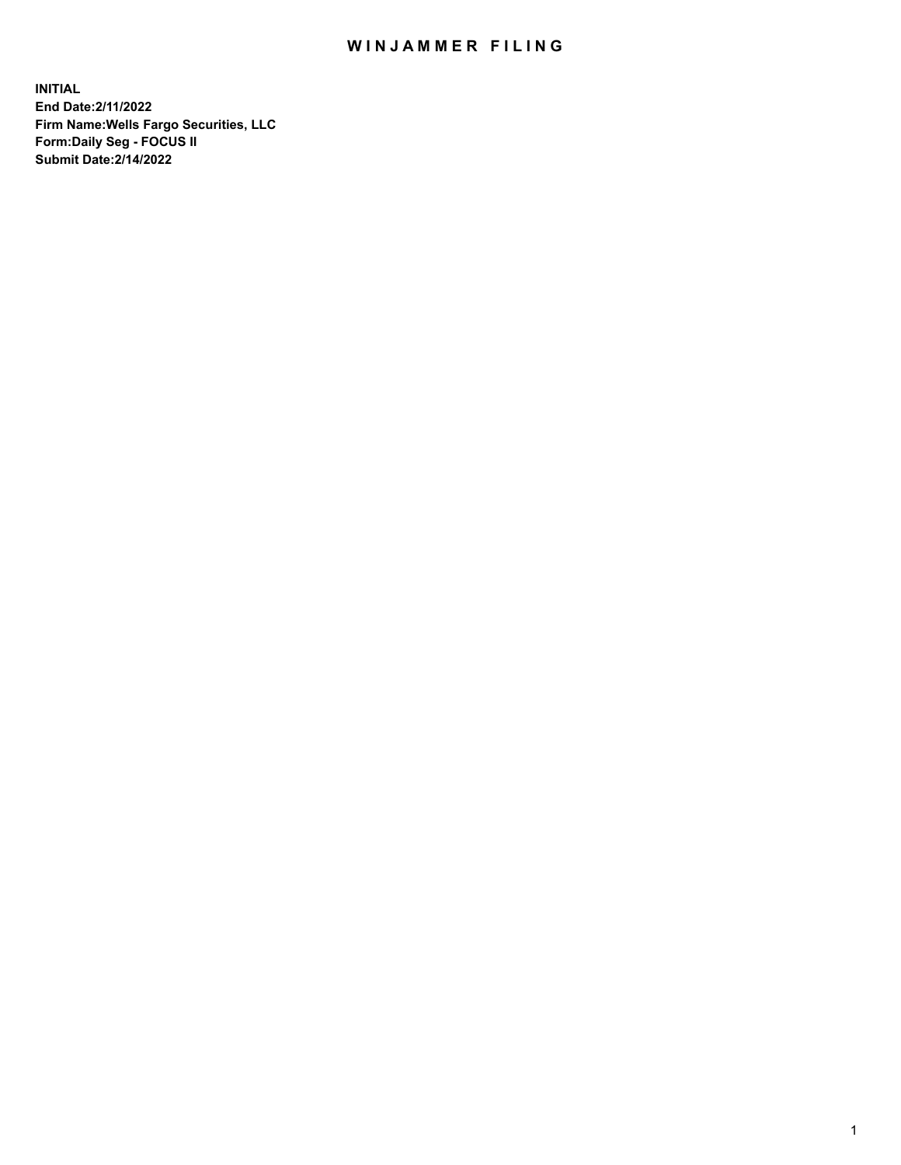## WIN JAMMER FILING

**INITIAL End Date:2/11/2022 Firm Name:Wells Fargo Securities, LLC Form:Daily Seg - FOCUS II Submit Date:2/14/2022**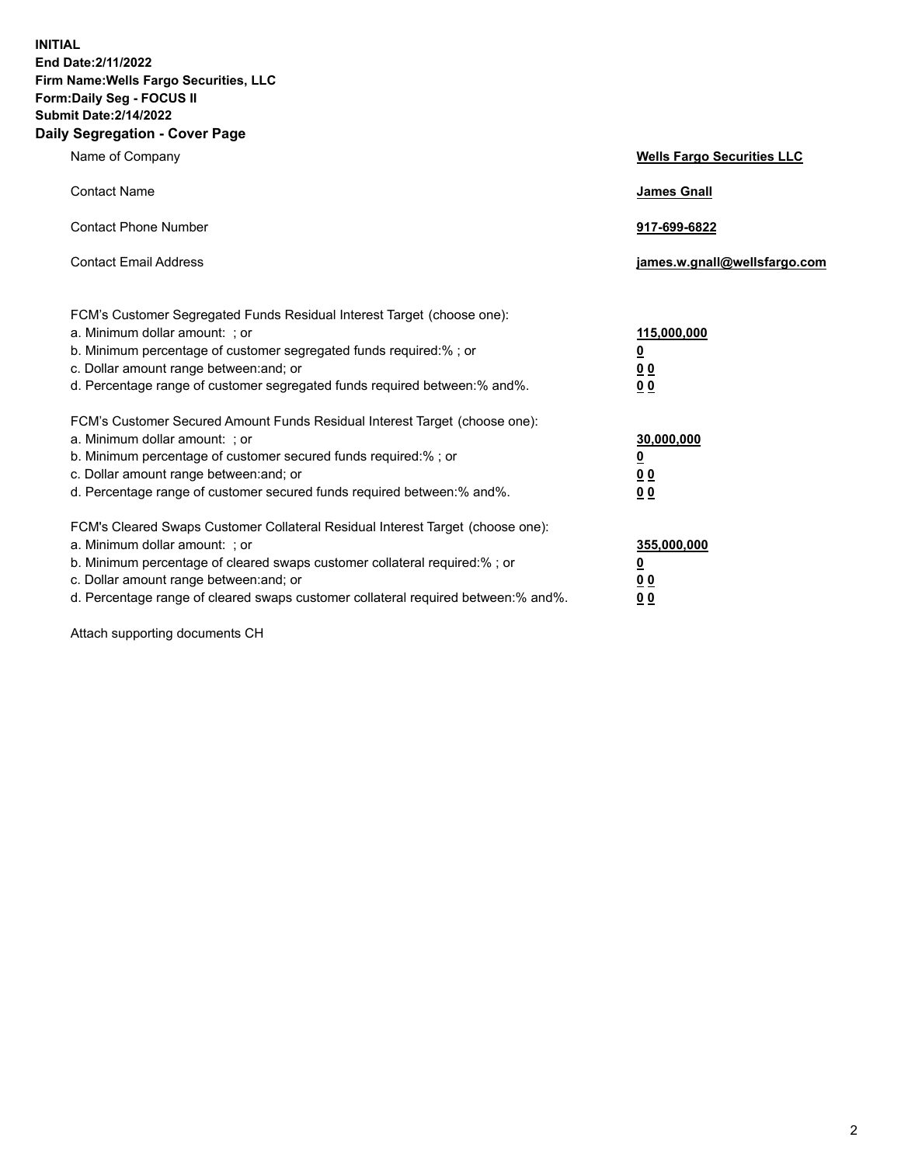**INITIAL End Date:2/11/2022 Firm Name:Wells Fargo Securities, LLC Form:Daily Seg - FOCUS II Submit Date:2/14/2022 Daily Segregation - Cover Page**

| Name of Company                                                                                                                                                                                                                                                                                                                | <b>Wells Fargo Securities LLC</b>                          |
|--------------------------------------------------------------------------------------------------------------------------------------------------------------------------------------------------------------------------------------------------------------------------------------------------------------------------------|------------------------------------------------------------|
| <b>Contact Name</b>                                                                                                                                                                                                                                                                                                            | <b>James Gnall</b>                                         |
| <b>Contact Phone Number</b>                                                                                                                                                                                                                                                                                                    | 917-699-6822                                               |
| <b>Contact Email Address</b>                                                                                                                                                                                                                                                                                                   | james.w.gnall@wellsfargo.com                               |
| FCM's Customer Segregated Funds Residual Interest Target (choose one):<br>a. Minimum dollar amount: ; or<br>b. Minimum percentage of customer segregated funds required:% ; or<br>c. Dollar amount range between: and; or<br>d. Percentage range of customer segregated funds required between:% and%.                         | 115,000,000<br><u>0</u><br>0 <sub>0</sub><br>00            |
| FCM's Customer Secured Amount Funds Residual Interest Target (choose one):<br>a. Minimum dollar amount: ; or<br>b. Minimum percentage of customer secured funds required:%; or<br>c. Dollar amount range between: and; or<br>d. Percentage range of customer secured funds required between:% and%.                            | 30,000,000<br><u>0</u><br>0 <sub>0</sub><br>0 <sub>0</sub> |
| FCM's Cleared Swaps Customer Collateral Residual Interest Target (choose one):<br>a. Minimum dollar amount: ; or<br>b. Minimum percentage of cleared swaps customer collateral required:% ; or<br>c. Dollar amount range between: and; or<br>d. Percentage range of cleared swaps customer collateral required between:% and%. | 355,000,000<br><u>0</u><br>00<br>00                        |

Attach supporting documents CH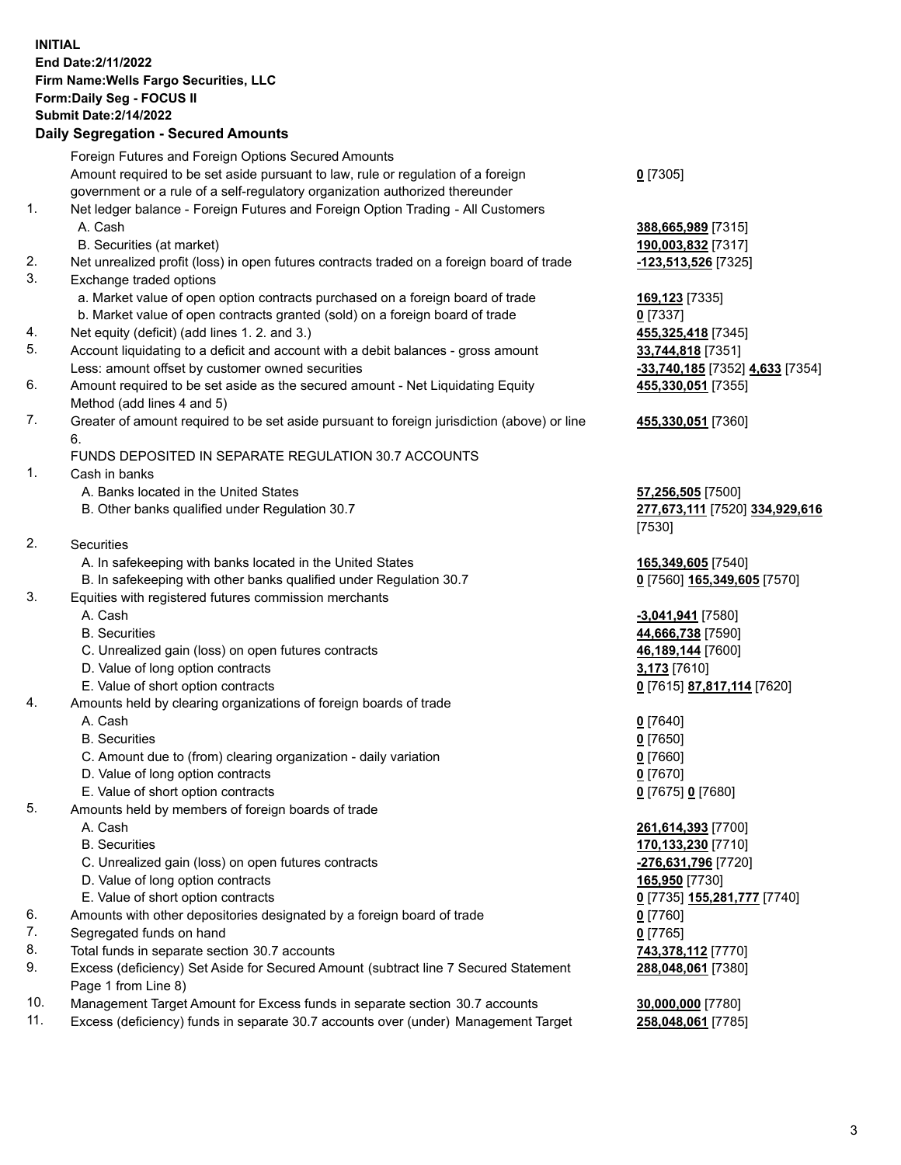**INITIAL End Date:2/11/2022 Firm Name:Wells Fargo Securities, LLC Form:Daily Seg - FOCUS II Submit Date:2/14/2022**

## **Daily Segregation - Secured Amounts**

|                 | Foreign Futures and Foreign Options Secured Amounts                                         |                                                                                                                                                                                                                                                                                                                                                                                      |
|-----------------|---------------------------------------------------------------------------------------------|--------------------------------------------------------------------------------------------------------------------------------------------------------------------------------------------------------------------------------------------------------------------------------------------------------------------------------------------------------------------------------------|
|                 | Amount required to be set aside pursuant to law, rule or regulation of a foreign            | $0$ [7305]                                                                                                                                                                                                                                                                                                                                                                           |
|                 | government or a rule of a self-regulatory organization authorized thereunder                |                                                                                                                                                                                                                                                                                                                                                                                      |
| 1.              | Net ledger balance - Foreign Futures and Foreign Option Trading - All Customers             |                                                                                                                                                                                                                                                                                                                                                                                      |
|                 | A. Cash                                                                                     | 388,665,989 [7315]                                                                                                                                                                                                                                                                                                                                                                   |
|                 | B. Securities (at market)                                                                   | 190,003,832 [7317]                                                                                                                                                                                                                                                                                                                                                                   |
| 2.              | Net unrealized profit (loss) in open futures contracts traded on a foreign board of trade   | -123,513,526 [7325]                                                                                                                                                                                                                                                                                                                                                                  |
| 3.              | Exchange traded options                                                                     |                                                                                                                                                                                                                                                                                                                                                                                      |
|                 | a. Market value of open option contracts purchased on a foreign board of trade              | 169,123 [7335]                                                                                                                                                                                                                                                                                                                                                                       |
|                 | b. Market value of open contracts granted (sold) on a foreign board of trade                | $0$ [7337]                                                                                                                                                                                                                                                                                                                                                                           |
| 4.              | Net equity (deficit) (add lines 1. 2. and 3.)                                               | 455,325,418 [7345]                                                                                                                                                                                                                                                                                                                                                                   |
| 5.              | Account liquidating to a deficit and account with a debit balances - gross amount           |                                                                                                                                                                                                                                                                                                                                                                                      |
|                 | Less: amount offset by customer owned securities                                            | 33,744,818 [7351]                                                                                                                                                                                                                                                                                                                                                                    |
| 6.              |                                                                                             | <mark>-33,740,185</mark> [7352] <b>4,633</b> [7354]                                                                                                                                                                                                                                                                                                                                  |
|                 | Amount required to be set aside as the secured amount - Net Liquidating Equity              | 455,330,051 [7355]                                                                                                                                                                                                                                                                                                                                                                   |
| 7.              | Method (add lines 4 and 5)                                                                  |                                                                                                                                                                                                                                                                                                                                                                                      |
|                 | Greater of amount required to be set aside pursuant to foreign jurisdiction (above) or line | 455,330,051 [7360]                                                                                                                                                                                                                                                                                                                                                                   |
|                 | 6.                                                                                          |                                                                                                                                                                                                                                                                                                                                                                                      |
|                 | FUNDS DEPOSITED IN SEPARATE REGULATION 30.7 ACCOUNTS                                        |                                                                                                                                                                                                                                                                                                                                                                                      |
| 1.              | Cash in banks                                                                               |                                                                                                                                                                                                                                                                                                                                                                                      |
|                 | A. Banks located in the United States                                                       | 57,256,505 [7500]                                                                                                                                                                                                                                                                                                                                                                    |
|                 | B. Other banks qualified under Regulation 30.7                                              | 277,673,111 [7520] 334,929,616                                                                                                                                                                                                                                                                                                                                                       |
|                 |                                                                                             | [7530]                                                                                                                                                                                                                                                                                                                                                                               |
| 2.              | Securities                                                                                  |                                                                                                                                                                                                                                                                                                                                                                                      |
|                 | A. In safekeeping with banks located in the United States                                   | 165,349,605 [7540]                                                                                                                                                                                                                                                                                                                                                                   |
|                 | B. In safekeeping with other banks qualified under Regulation 30.7                          | 0 [7560] 165,349,605 [7570]                                                                                                                                                                                                                                                                                                                                                          |
| 3.              | Equities with registered futures commission merchants                                       |                                                                                                                                                                                                                                                                                                                                                                                      |
|                 | A. Cash                                                                                     | -3,041,941 [7580]                                                                                                                                                                                                                                                                                                                                                                    |
|                 | <b>B.</b> Securities                                                                        | 44,666,738 [7590]                                                                                                                                                                                                                                                                                                                                                                    |
|                 | C. Unrealized gain (loss) on open futures contracts                                         | 46,189,144 [7600]                                                                                                                                                                                                                                                                                                                                                                    |
|                 | D. Value of long option contracts                                                           | 3,173 [7610]                                                                                                                                                                                                                                                                                                                                                                         |
|                 | E. Value of short option contracts                                                          | 0 [7615] 87,817,114 [7620]                                                                                                                                                                                                                                                                                                                                                           |
| 4.              | Amounts held by clearing organizations of foreign boards of trade                           |                                                                                                                                                                                                                                                                                                                                                                                      |
|                 | A. Cash                                                                                     | $0$ [7640]                                                                                                                                                                                                                                                                                                                                                                           |
|                 | <b>B.</b> Securities                                                                        | $0$ [7650]                                                                                                                                                                                                                                                                                                                                                                           |
|                 | C. Amount due to (from) clearing organization - daily variation                             | $0$ [7660]                                                                                                                                                                                                                                                                                                                                                                           |
|                 | D. Value of long option contracts                                                           | $0$ [7670]                                                                                                                                                                                                                                                                                                                                                                           |
|                 | E. Value of short option contracts                                                          | 0 [7675] 0 [7680]                                                                                                                                                                                                                                                                                                                                                                    |
| 5.              | Amounts held by members of foreign boards of trade                                          |                                                                                                                                                                                                                                                                                                                                                                                      |
|                 | A. Cash                                                                                     | 261,614,393 [7700]                                                                                                                                                                                                                                                                                                                                                                   |
|                 | <b>B.</b> Securities                                                                        | 170,133,230 [7710]                                                                                                                                                                                                                                                                                                                                                                   |
|                 | C. Unrealized gain (loss) on open futures contracts                                         | -276,631,796 [7720]                                                                                                                                                                                                                                                                                                                                                                  |
|                 | D. Value of long option contracts                                                           | 165,950 [7730]                                                                                                                                                                                                                                                                                                                                                                       |
|                 | E. Value of short option contracts                                                          | 0 <sup>[7735]</sup> 155,281,777 <sup>[7740]</sup>                                                                                                                                                                                                                                                                                                                                    |
| 6.              | Amounts with other depositories designated by a foreign board of trade                      | $0$ [7760]                                                                                                                                                                                                                                                                                                                                                                           |
| 7.              | Segregated funds on hand                                                                    | $0$ [7765]                                                                                                                                                                                                                                                                                                                                                                           |
| 8.              | Total funds in separate section 30.7 accounts                                               | 743,378,112 [7770]                                                                                                                                                                                                                                                                                                                                                                   |
| 9.              | Excess (deficiency) Set Aside for Secured Amount (subtract line 7 Secured Statement         | 288,048,061 [7380]                                                                                                                                                                                                                                                                                                                                                                   |
|                 | Page 1 from Line 8)                                                                         |                                                                                                                                                                                                                                                                                                                                                                                      |
| $\overline{10}$ |                                                                                             | $\overline{a}$ $\overline{a}$ $\overline{a}$ $\overline{a}$ $\overline{a}$ $\overline{a}$ $\overline{a}$ $\overline{a}$ $\overline{a}$ $\overline{a}$ $\overline{a}$ $\overline{a}$ $\overline{a}$ $\overline{a}$ $\overline{a}$ $\overline{a}$ $\overline{a}$ $\overline{a}$ $\overline{a}$ $\overline{a}$ $\overline{a}$ $\overline{a}$ $\overline{a}$ $\overline{a}$ $\overline{$ |

- 10. Management Target Amount for Excess funds in separate section 30.7 accounts **30,000,000** [7780]
- 11. Excess (deficiency) funds in separate 30.7 accounts over (under) Management Target **258,048,061** [7785]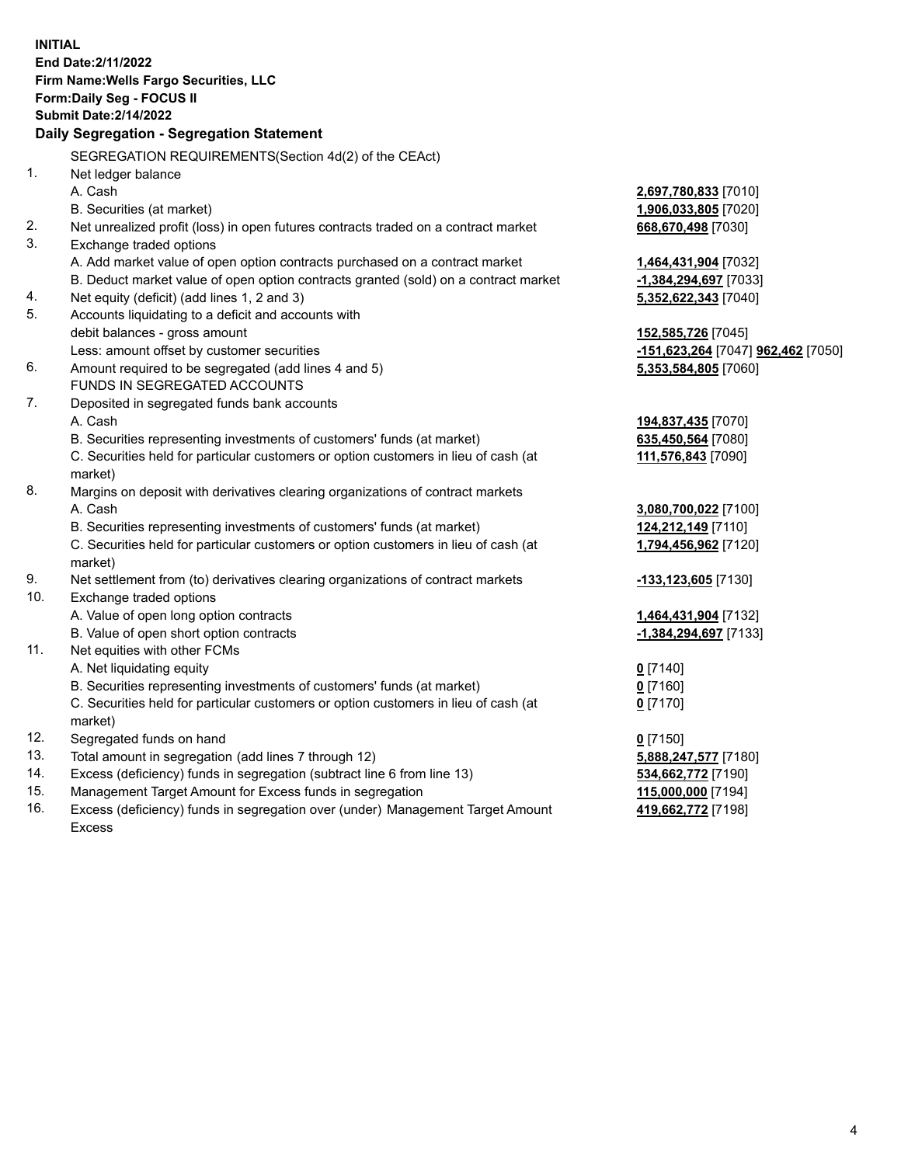**INITIAL End Date:2/11/2022 Firm Name:Wells Fargo Securities, LLC Form:Daily Seg - FOCUS II Submit Date:2/14/2022 Daily Segregation - Segregation Statement** SEGREGATION REQUIREMENTS(Section 4d(2) of the CEAct) 1. Net ledger balance A. Cash **2,697,780,833** [7010] B. Securities (at market) **1,906,033,805** [7020] 2. Net unrealized profit (loss) in open futures contracts traded on a contract market **668,670,498** [7030] 3. Exchange traded options A. Add market value of open option contracts purchased on a contract market **1,464,431,904** [7032] B. Deduct market value of open option contracts granted (sold) on a contract market **-1,384,294,697** [7033] 4. Net equity (deficit) (add lines 1, 2 and 3) **5,352,622,343** [7040] 5. Accounts liquidating to a deficit and accounts with debit balances - gross amount **152,585,726** [7045] Less: amount offset by customer securities **-151,623,264** [7047] **962,462** [7050] 6. Amount required to be segregated (add lines 4 and 5) **5,353,584,805** [7060] FUNDS IN SEGREGATED ACCOUNTS 7. Deposited in segregated funds bank accounts A. Cash **194,837,435** [7070] B. Securities representing investments of customers' funds (at market) **635,450,564** [7080] C. Securities held for particular customers or option customers in lieu of cash (at market) **111,576,843** [7090] 8. Margins on deposit with derivatives clearing organizations of contract markets A. Cash **3,080,700,022** [7100] B. Securities representing investments of customers' funds (at market) **124,212,149** [7110] C. Securities held for particular customers or option customers in lieu of cash (at market) **1,794,456,962** [7120] 9. Net settlement from (to) derivatives clearing organizations of contract markets **-133,123,605** [7130] 10. Exchange traded options A. Value of open long option contracts **1,464,431,904** [7132] B. Value of open short option contracts **-1,384,294,697** [7133] 11. Net equities with other FCMs A. Net liquidating equity **0** [7140] B. Securities representing investments of customers' funds (at market) **0** [7160] C. Securities held for particular customers or option customers in lieu of cash (at market) **0** [7170] 12. Segregated funds on hand **0** [7150] 13. Total amount in segregation (add lines 7 through 12) **5,888,247,577** [7180] 14. Excess (deficiency) funds in segregation (subtract line 6 from line 13) **534,662,772** [7190] 15. Management Target Amount for Excess funds in segregation **115,000,000** [7194]

16. Excess (deficiency) funds in segregation over (under) Management Target Amount Excess

**419,662,772** [7198]